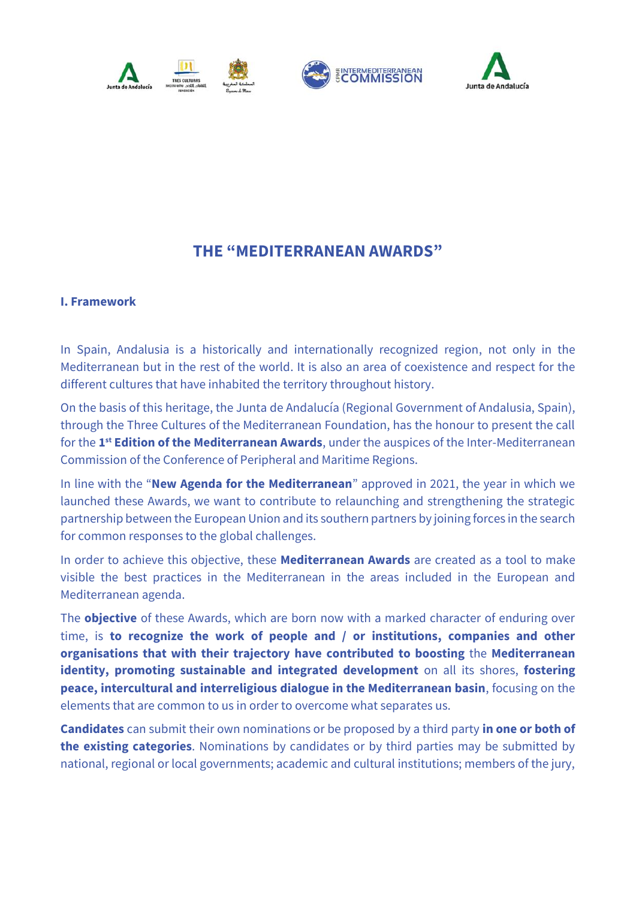



# **THE "MEDITERRANEAN AWARDS"**

### **I. Framework**

In Spain, Andalusia is a historically and internationally recognized region, not only in the Mediterranean but in the rest of the world. It is also an area of coexistence and respect for the different cultures that have inhabited the territory throughout history.

On the basis of this heritage, the Junta de Andalucía (Regional Government of Andalusia, Spain), through the Three Cultures of the Mediterranean Foundation, has the honour to present the call for the **1 st Edition of the Mediterranean Awards**, under the auspices of the Inter-Mediterranean Commission of the Conference of Peripheral and Maritime Regions.

In line with the "**New Agenda for the Mediterranean**" approved in 2021, the year in which we launched these Awards, we want to contribute to relaunching and strengthening the strategic partnership between the European Union and its southern partners by joining forces in the search for common responses to the global challenges.

In order to achieve this objective, these **Mediterranean Awards** are created as a tool to make visible the best practices in the Mediterranean in the areas included in the European and Mediterranean agenda.

The **objective** of these Awards, which are born now with a marked character of enduring over time, is **to recognize the work of people and / or institutions, companies and other organisations that with their trajectory have contributed to boosting** the **Mediterranean identity, promoting sustainable and integrated development** on all its shores, **fostering peace, intercultural and interreligious dialogue in the Mediterranean basin**, focusing on the elements that are common to us in order to overcome what separates us.

**Candidates** can submit their own nominations or be proposed by a third party **in one or both of the existing categories**. Nominations by candidates or by third parties may be submitted by national, regional or local governments; academic and cultural institutions; members of the jury,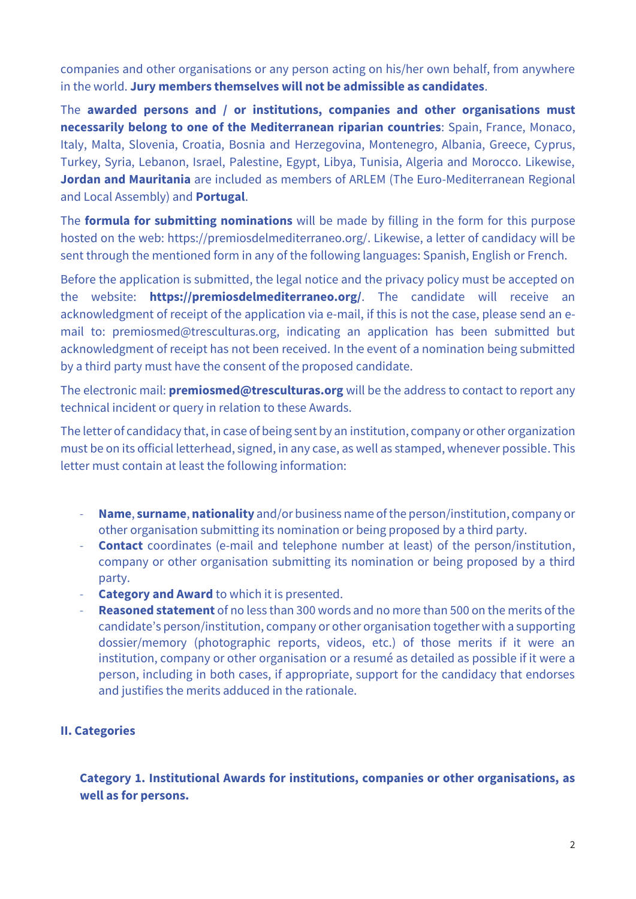companies and other organisations or any person acting on his/her own behalf, from anywhere in the world. **Jury members themselves will not be admissible as candidates**.

The **awarded persons and / or institutions, companies and other organisations must necessarily belong to one of the Mediterranean riparian countries**: Spain, France, Monaco, Italy, Malta, Slovenia, Croatia, Bosnia and Herzegovina, Montenegro, Albania, Greece, Cyprus, Turkey, Syria, Lebanon, Israel, Palestine, Egypt, Libya, Tunisia, Algeria and Morocco. Likewise, **Jordan and Mauritania** are included as members of ARLEM (The Euro-Mediterranean Regional and Local Assembly) and **Portugal**.

The **formula for submitting nominations** will be made by filling in the form for this purpose hosted on the web: https://premiosdelmediterraneo.org/. Likewise, a letter of candidacy will be sent through the mentioned form in any of the following languages: Spanish, English or French.

Before the application is submitted, the legal notice and the privacy policy must be accepted on the website: **https://premiosdelmediterraneo.org/**. The candidate will receive an acknowledgment of receipt of the application via e-mail, if this is not the case, please send an email to: premiosmed@tresculturas.org, indicating an application has been submitted but acknowledgment of receipt has not been received. In the event of a nomination being submitted by a third party must have the consent of the proposed candidate.

The electronic mail: **premiosmed@tresculturas.org** will be the address to contact to report any technical incident or query in relation to these Awards.

The letter of candidacy that, in case of being sent by an institution, company or other organization must be on its official letterhead, signed, in any case, as well as stamped, whenever possible. This letter must contain at least the following information:

- **Name**, **surname**, **nationality** and/or business name of the person/institution, company or other organisation submitting its nomination or being proposed by a third party.
- **Contact** coordinates (e-mail and telephone number at least) of the person/institution, company or other organisation submitting its nomination or being proposed by a third party.
- **Category and Award** to which it is presented.
- **Reasoned statement** of no less than 300 words and no more than 500 on the merits of the candidate's person/institution, company or other organisation together with a supporting dossier/memory (photographic reports, videos, etc.) of those merits if it were an institution, company or other organisation or a resumé as detailed as possible if it were a person, including in both cases, if appropriate, support for the candidacy that endorses and justifies the merits adduced in the rationale.

## **II. Categories**

**Category 1. Institutional Awards for institutions, companies or other organisations, as well as for persons.**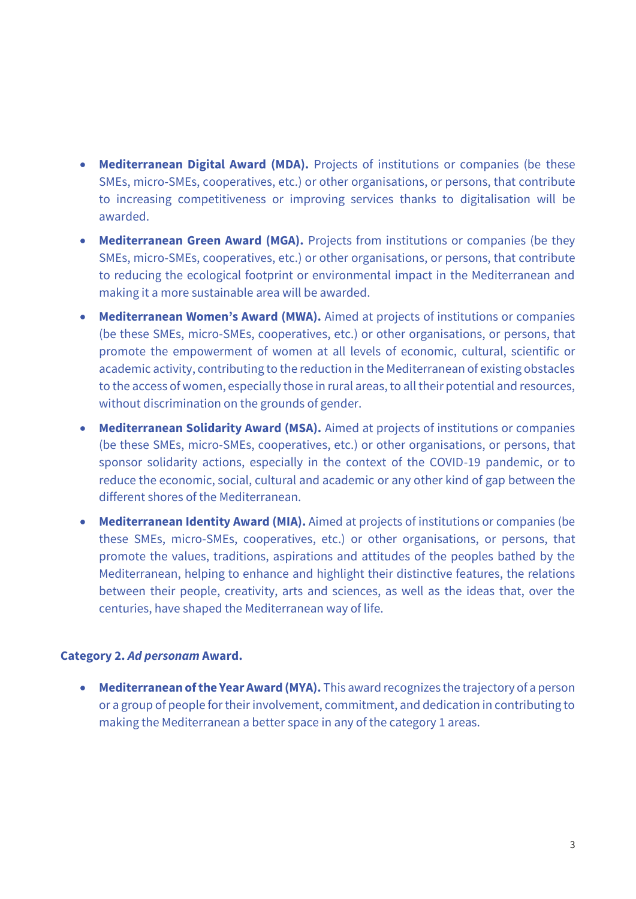- **Mediterranean Digital Award (MDA).** Projects of institutions or companies (be these SMEs, micro-SMEs, cooperatives, etc.) or other organisations, or persons, that contribute to increasing competitiveness or improving services thanks to digitalisation will be awarded.
- **Mediterranean Green Award (MGA).** Projects from institutions or companies (be they SMEs, micro-SMEs, cooperatives, etc.) or other organisations, or persons, that contribute to reducing the ecological footprint or environmental impact in the Mediterranean and making it a more sustainable area will be awarded.
- **Mediterranean Women's Award (MWA).** Aimed at projects of institutions or companies (be these SMEs, micro-SMEs, cooperatives, etc.) or other organisations, or persons, that promote the empowerment of women at all levels of economic, cultural, scientific or academic activity, contributing to the reduction in the Mediterranean of existing obstacles to the access of women, especially those in rural areas, to all their potential and resources, without discrimination on the grounds of gender.
- **Mediterranean Solidarity Award (MSA).** Aimed at projects of institutions or companies (be these SMEs, micro-SMEs, cooperatives, etc.) or other organisations, or persons, that sponsor solidarity actions, especially in the context of the COVID-19 pandemic, or to reduce the economic, social, cultural and academic or any other kind of gap between the different shores of the Mediterranean.
- **Mediterranean Identity Award (MIA).** Aimed at projects of institutions or companies (be these SMEs, micro-SMEs, cooperatives, etc.) or other organisations, or persons, that promote the values, traditions, aspirations and attitudes of the peoples bathed by the Mediterranean, helping to enhance and highlight their distinctive features, the relations between their people, creativity, arts and sciences, as well as the ideas that, over the centuries, have shaped the Mediterranean way of life.

## **Category 2.** *Ad personam* **Award.**

• **Mediterranean of the Year Award (MYA).** This award recognizes the trajectory of a person or a group of people for their involvement, commitment, and dedication in contributing to making the Mediterranean a better space in any of the category 1 areas.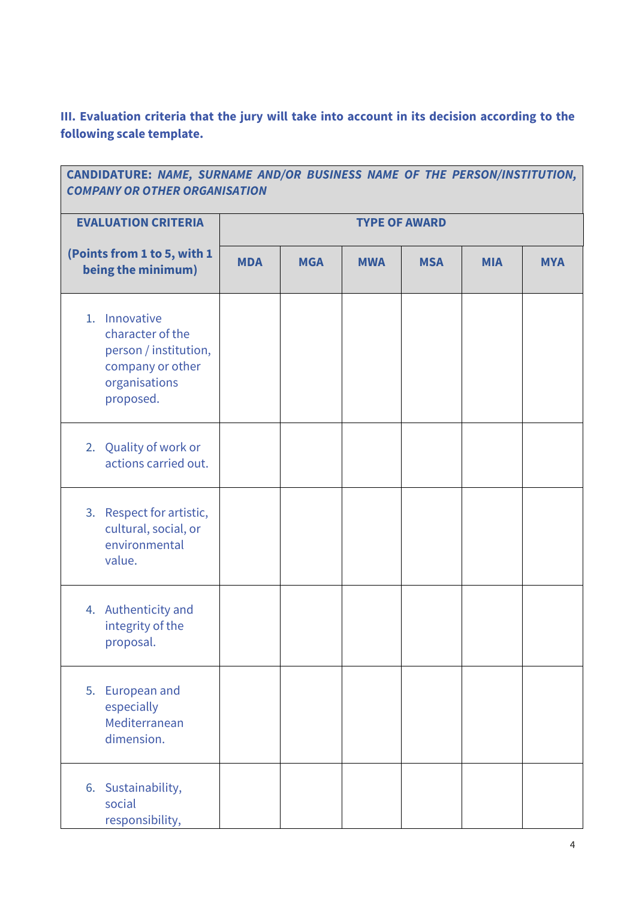**III. Evaluation criteria that the jury will take into account in its decision according to the following scale template.**

| CANDIDATURE: NAME, SURNAME AND/OR BUSINESS NAME OF THE PERSON/INSTITUTION,<br><b>COMPANY OR OTHER ORGANISATION</b> |                      |            |            |            |            |            |  |  |  |
|--------------------------------------------------------------------------------------------------------------------|----------------------|------------|------------|------------|------------|------------|--|--|--|
| <b>EVALUATION CRITERIA</b>                                                                                         | <b>TYPE OF AWARD</b> |            |            |            |            |            |  |  |  |
| (Points from 1 to 5, with 1<br>being the minimum)                                                                  | <b>MDA</b>           | <b>MGA</b> | <b>MWA</b> | <b>MSA</b> | <b>MIA</b> | <b>MYA</b> |  |  |  |
| 1. Innovative<br>character of the<br>person / institution,<br>company or other<br>organisations<br>proposed.       |                      |            |            |            |            |            |  |  |  |
| 2. Quality of work or<br>actions carried out.                                                                      |                      |            |            |            |            |            |  |  |  |
| 3. Respect for artistic,<br>cultural, social, or<br>environmental<br>value.                                        |                      |            |            |            |            |            |  |  |  |
| 4. Authenticity and<br>integrity of the<br>proposal.                                                               |                      |            |            |            |            |            |  |  |  |
| 5.<br>European and<br>especially<br>Mediterranean<br>dimension.                                                    |                      |            |            |            |            |            |  |  |  |
| 6. Sustainability,<br>social<br>responsibility,                                                                    |                      |            |            |            |            |            |  |  |  |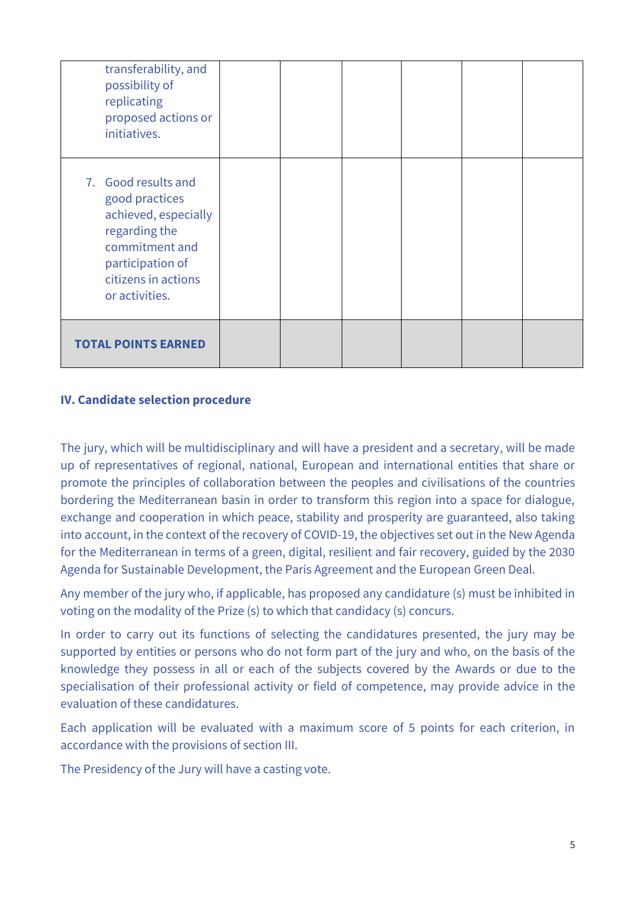| transferability, and<br>possibility of<br>replicating<br>proposed actions or<br>initiatives.                                                                  |  |  |  |
|---------------------------------------------------------------------------------------------------------------------------------------------------------------|--|--|--|
| 7. Good results and<br>good practices<br>achieved, especially<br>regarding the<br>commitment and<br>participation of<br>citizens in actions<br>or activities. |  |  |  |
| <b>TOTAL POINTS EARNED</b>                                                                                                                                    |  |  |  |

## **IV. Candidate selection procedure**

The jury, which will be multidisciplinary and will have a president and a secretary, will be made up of representatives of regional, national, European and international entities that share or promote the principles of collaboration between the peoples and civilisations of the countries bordering the Mediterranean basin in order to transform this region into a space for dialogue, exchange and cooperation in which peace, stability and prosperity are guaranteed, also taking into account, in the context of the recovery of COVID-19, the objectives set out in the New Agenda for the Mediterranean in terms of a green, digital, resilient and fair recovery, guided by the 2030 Agenda for Sustainable Development, the Paris Agreement and the European Green Deal.

Any member of the jury who, if applicable, has proposed any candidature (s) must be inhibited in voting on the modality of the Prize (s) to which that candidacy (s) concurs.

In order to carry out its functions of selecting the candidatures presented, the jury may be supported by entities or persons who do not form part of the jury and who, on the basis of the knowledge they possess in all or each of the subjects covered by the Awards or due to the specialisation of their professional activity or field of competence, may provide advice in the evaluation of these candidatures.

Each application will be evaluated with a maximum score of 5 points for each criterion, in accordance with the provisions of section III.

The Presidency of the Jury will have a casting vote.